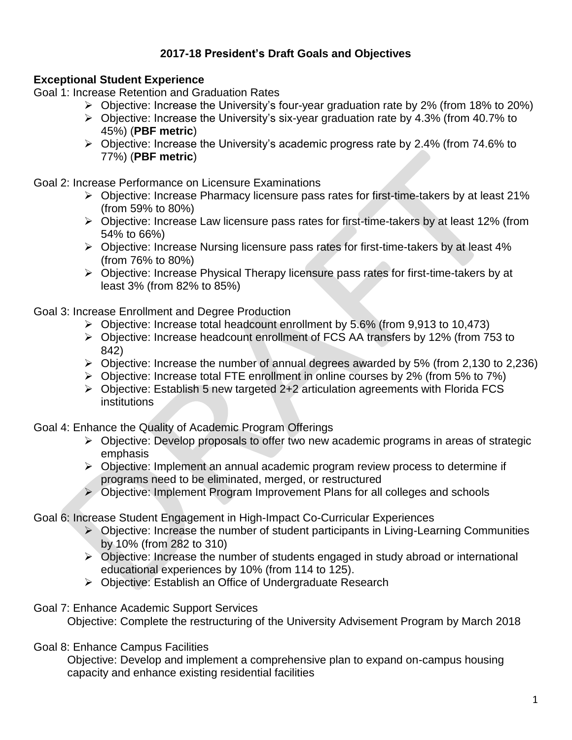# **2017-18 President's Draft Goals and Objectives**

## **Exceptional Student Experience**

Goal 1: Increase Retention and Graduation Rates

- $\triangleright$  Objective: Increase the University's four-year graduation rate by 2% (from 18% to 20%)
- $\triangleright$  Objective: Increase the University's six-year graduation rate by 4.3% (from 40.7% to 45%) (**PBF metric**)
- Objective: Increase the University's academic progress rate by 2.4% (from 74.6% to 77%) (**PBF metric**)

Goal 2: Increase Performance on Licensure Examinations

- Objective: Increase Pharmacy licensure pass rates for first-time-takers by at least 21% (from 59% to 80%)
- Objective: Increase Law licensure pass rates for first-time-takers by at least 12% (from 54% to 66%)
- Objective: Increase Nursing licensure pass rates for first-time-takers by at least 4% (from 76% to 80%)
- Objective: Increase Physical Therapy licensure pass rates for first-time-takers by at least 3% (from 82% to 85%)

Goal 3: Increase Enrollment and Degree Production

- Objective: Increase total headcount enrollment by 5.6% (from 9,913 to 10,473)
- Objective: Increase headcount enrollment of FCS AA transfers by 12% (from 753 to 842)
- $\triangleright$  Objective: Increase the number of annual degrees awarded by 5% (from 2,130 to 2,236)
- Objective: Increase total FTE enrollment in online courses by 2% (from 5% to 7%)
- $\triangleright$  Objective: Establish 5 new targeted 2+2 articulation agreements with Florida FCS institutions

Goal 4: Enhance the Quality of Academic Program Offerings

- $\triangleright$  Objective: Develop proposals to offer two new academic programs in areas of strategic emphasis
- Objective: Implement an annual academic program review process to determine if programs need to be eliminated, merged, or restructured
- Objective: Implement Program Improvement Plans for all colleges and schools

Goal 6: Increase Student Engagement in High-Impact Co-Curricular Experiences

- $\triangleright$  Objective: Increase the number of student participants in Living-Learning Communities by 10% (from 282 to 310)
- $\triangleright$  Objective: Increase the number of students engaged in study abroad or international educational experiences by 10% (from 114 to 125).
- Objective: Establish an Office of Undergraduate Research

Goal 7: Enhance Academic Support Services

Objective: Complete the restructuring of the University Advisement Program by March 2018

Goal 8: Enhance Campus Facilities

Objective: Develop and implement a comprehensive plan to expand on-campus housing capacity and enhance existing residential facilities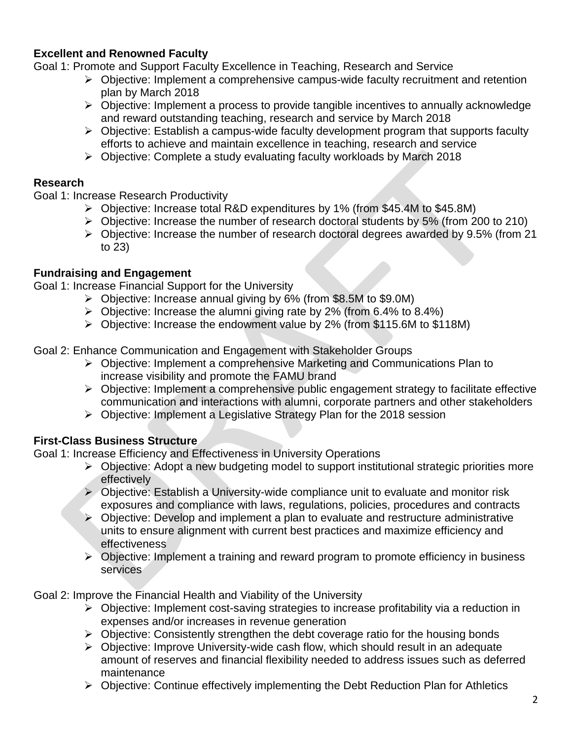## **Excellent and Renowned Faculty**

Goal 1: Promote and Support Faculty Excellence in Teaching, Research and Service

- $\triangleright$  Objective: Implement a comprehensive campus-wide faculty recruitment and retention plan by March 2018
- $\triangleright$  Objective: Implement a process to provide tangible incentives to annually acknowledge and reward outstanding teaching, research and service by March 2018
- $\triangleright$  Objective: Establish a campus-wide faculty development program that supports faculty efforts to achieve and maintain excellence in teaching, research and service
- $\triangleright$  Objective: Complete a study evaluating faculty workloads by March 2018

#### **Research**

Goal 1: Increase Research Productivity

- Objective: Increase total R&D expenditures by 1% (from \$45.4M to \$45.8M)
- Objective: Increase the number of research doctoral students by 5% (from 200 to 210)
- Objective: Increase the number of research doctoral degrees awarded by 9.5% (from 21 to 23)

## **Fundraising and Engagement**

Goal 1: Increase Financial Support for the University

- Objective: Increase annual giving by 6% (from \$8.5M to \$9.0M)
- $\triangleright$  Objective: Increase the alumni giving rate by 2% (from 6.4% to 8.4%)
- Objective: Increase the endowment value by 2% (from \$115.6M to \$118M)

Goal 2: Enhance Communication and Engagement with Stakeholder Groups

- $\triangleright$  Objective: Implement a comprehensive Marketing and Communications Plan to increase visibility and promote the FAMU brand
- $\triangleright$  Objective: Implement a comprehensive public engagement strategy to facilitate effective communication and interactions with alumni, corporate partners and other stakeholders
- $\triangleright$  Objective: Implement a Legislative Strategy Plan for the 2018 session

### **First-Class Business Structure**

Goal 1: Increase Efficiency and Effectiveness in University Operations

- $\triangleright$  Objective: Adopt a new budgeting model to support institutional strategic priorities more effectively
- $\triangleright$  Objective: Establish a University-wide compliance unit to evaluate and monitor risk exposures and compliance with laws, regulations, policies, procedures and contracts
- $\triangleright$  Objective: Develop and implement a plan to evaluate and restructure administrative units to ensure alignment with current best practices and maximize efficiency and effectiveness
- $\triangleright$  Objective: Implement a training and reward program to promote efficiency in business services

Goal 2: Improve the Financial Health and Viability of the University

- $\triangleright$  Objective: Implement cost-saving strategies to increase profitability via a reduction in expenses and/or increases in revenue generation
- $\triangleright$  Objective: Consistently strengthen the debt coverage ratio for the housing bonds
- $\triangleright$  Objective: Improve University-wide cash flow, which should result in an adequate amount of reserves and financial flexibility needed to address issues such as deferred maintenance
- $\triangleright$  Objective: Continue effectively implementing the Debt Reduction Plan for Athletics